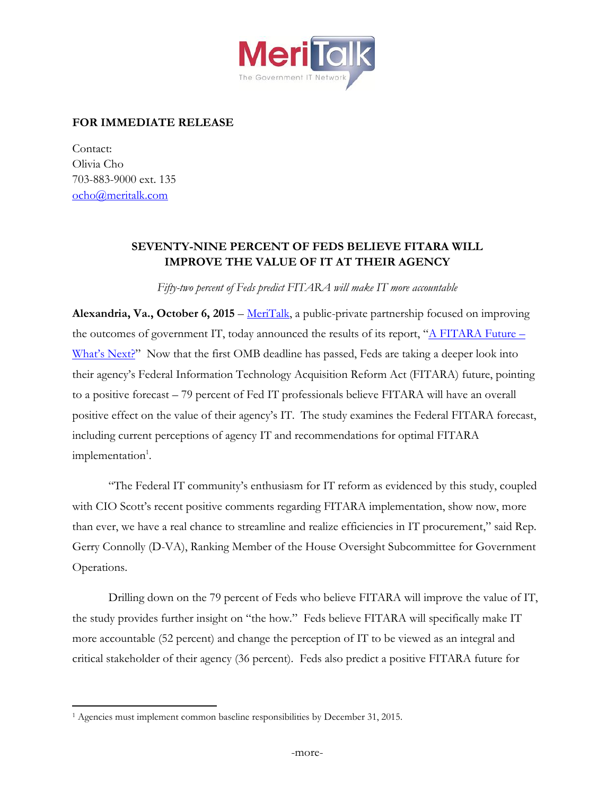

## **FOR IMMEDIATE RELEASE**

Contact: Olivia Cho 703-883-9000 ext. 135 [ocho@meritalk.com](mailto:ocho@meritalk.com)

 $\overline{a}$ 

## **SEVENTY-NINE PERCENT OF FEDS BELIEVE FITARA WILL IMPROVE THE VALUE OF IT AT THEIR AGENCY**

*Fifty-two percent of Feds predict FITARA will make IT more accountable*

**Alexandria, Va., October 6, 2015** – [MeriTalk,](http://www.meritalk.com/) a public-private partnership focused on improving the outcomes of government IT, today announced the results of its report, " $\triangle$  FITARA Future – [What's Next?"](http://www.meritalk.com/fitara-future) Now that the first OMB deadline has passed, Feds are taking a deeper look into their agency's Federal Information Technology Acquisition Reform Act (FITARA) future, pointing to a positive forecast – 79 percent of Fed IT professionals believe FITARA will have an overall positive effect on the value of their agency's IT. The study examines the Federal FITARA forecast, including current perceptions of agency IT and recommendations for optimal FITARA  $implementation<sup>1</sup>.$ 

"The Federal IT community's enthusiasm for IT reform as evidenced by this study, coupled with CIO Scott's recent positive comments regarding FITARA implementation, show now, more than ever, we have a real chance to streamline and realize efficiencies in IT procurement," said Rep. Gerry Connolly (D-VA), Ranking Member of the House Oversight Subcommittee for Government Operations.

Drilling down on the 79 percent of Feds who believe FITARA will improve the value of IT, the study provides further insight on "the how." Feds believe FITARA will specifically make IT more accountable (52 percent) and change the perception of IT to be viewed as an integral and critical stakeholder of their agency (36 percent). Feds also predict a positive FITARA future for

<sup>&</sup>lt;sup>1</sup> Agencies must implement common baseline responsibilities by December 31, 2015.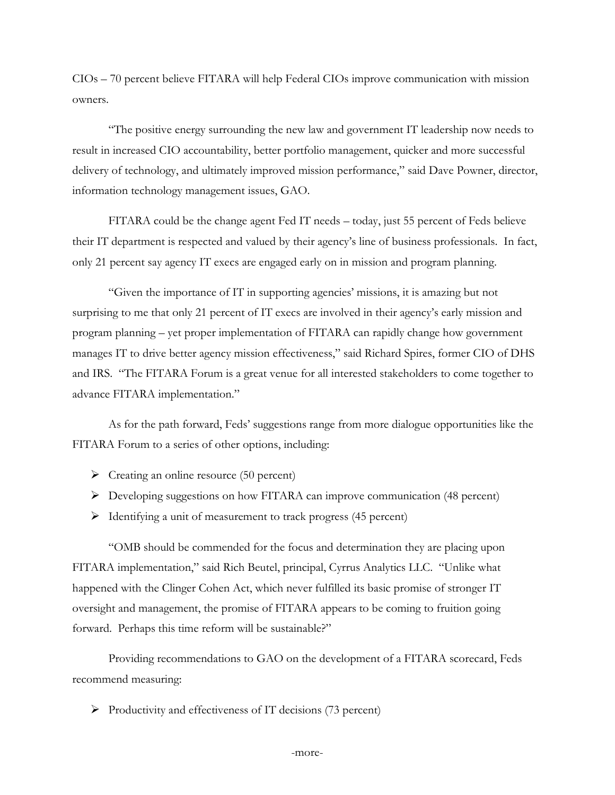CIOs – 70 percent believe FITARA will help Federal CIOs improve communication with mission owners.

"The positive energy surrounding the new law and government IT leadership now needs to result in increased CIO accountability, better portfolio management, quicker and more successful delivery of technology, and ultimately improved mission performance," said Dave Powner, director, information technology management issues, GAO.

FITARA could be the change agent Fed IT needs – today, just 55 percent of Feds believe their IT department is respected and valued by their agency's line of business professionals. In fact, only 21 percent say agency IT execs are engaged early on in mission and program planning.

"Given the importance of IT in supporting agencies' missions, it is amazing but not surprising to me that only 21 percent of IT execs are involved in their agency's early mission and program planning – yet proper implementation of FITARA can rapidly change how government manages IT to drive better agency mission effectiveness," said Richard Spires, former CIO of DHS and IRS. "The FITARA Forum is a great venue for all interested stakeholders to come together to advance FITARA implementation."

As for the path forward, Feds' suggestions range from more dialogue opportunities like the FITARA Forum to a series of other options, including:

- $\triangleright$  Creating an online resource (50 percent)
- Developing suggestions on how FITARA can improve communication (48 percent)
- $\triangleright$  Identifying a unit of measurement to track progress (45 percent)

"OMB should be commended for the focus and determination they are placing upon FITARA implementation," said Rich Beutel, principal, Cyrrus Analytics LLC. "Unlike what happened with the Clinger Cohen Act, which never fulfilled its basic promise of stronger IT oversight and management, the promise of FITARA appears to be coming to fruition going forward. Perhaps this time reform will be sustainable?"

Providing recommendations to GAO on the development of a FITARA scorecard, Feds recommend measuring:

 $\triangleright$  Productivity and effectiveness of IT decisions (73 percent)